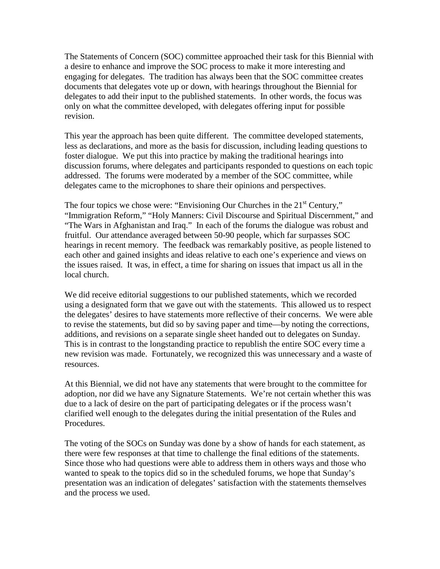The Statements of Concern (SOC) committee approached their task for this Biennial with a desire to enhance and improve the SOC process to make it more interesting and engaging for delegates. The tradition has always been that the SOC committee creates documents that delegates vote up or down, with hearings throughout the Biennial for delegates to add their input to the published statements. In other words, the focus was only on what the committee developed, with delegates offering input for possible revision.

This year the approach has been quite different. The committee developed statements, less as declarations, and more as the basis for discussion, including leading questions to foster dialogue. We put this into practice by making the traditional hearings into discussion forums, where delegates and participants responded to questions on each topic addressed. The forums were moderated by a member of the SOC committee, while delegates came to the microphones to share their opinions and perspectives.

The four topics we chose were: "Envisioning Our Churches in the  $21<sup>st</sup>$  Century," "Immigration Reform," "Holy Manners: Civil Discourse and Spiritual Discernment," and "The Wars in Afghanistan and Iraq." In each of the forums the dialogue was robust and fruitful. Our attendance averaged between 50-90 people, which far surpasses SOC hearings in recent memory. The feedback was remarkably positive, as people listened to each other and gained insights and ideas relative to each one's experience and views on the issues raised. It was, in effect, a time for sharing on issues that impact us all in the local church.

We did receive editorial suggestions to our published statements, which we recorded using a designated form that we gave out with the statements. This allowed us to respect the delegates' desires to have statements more reflective of their concerns. We were able to revise the statements, but did so by saving paper and time—by noting the corrections, additions, and revisions on a separate single sheet handed out to delegates on Sunday. This is in contrast to the longstanding practice to republish the entire SOC every time a new revision was made. Fortunately, we recognized this was unnecessary and a waste of resources.

At this Biennial, we did not have any statements that were brought to the committee for adoption, nor did we have any Signature Statements. We're not certain whether this was due to a lack of desire on the part of participating delegates or if the process wasn't clarified well enough to the delegates during the initial presentation of the Rules and Procedures.

The voting of the SOCs on Sunday was done by a show of hands for each statement, as there were few responses at that time to challenge the final editions of the statements. Since those who had questions were able to address them in others ways and those who wanted to speak to the topics did so in the scheduled forums, we hope that Sunday's presentation was an indication of delegates' satisfaction with the statements themselves and the process we used.